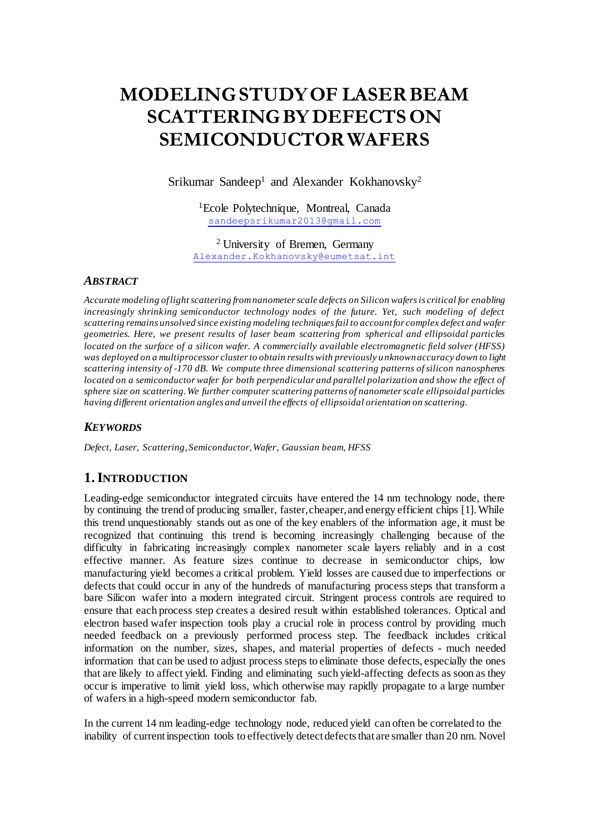# **MODELINGSTUDYOF LASERBEAM SCATTERINGBY DEFECTSON SEMICONDUCTORWAFERS**

Srikumar Sandeep<sup>1</sup> and Alexander Kokhanovsky<sup>2</sup>

<sup>1</sup>Ecole Polytechnique, Montreal, Canada [sandeepsrikumar2013@gmail.com](mailto:sandeepsrikumar2013@gmail.com)

<sup>2</sup> University of Bremen, Germany [Alexander.Kokhanovsky@eumetsat.int](file:///C:/Users/Srikumar/Desktop/LightScatteringSD/IJMOT/Alexander.Kokhanovsky@eumetsat.int)

#### *ABSTRACT*

*Accurate modeling of light scattering from nanometer scale defects on Silicon wafersis critical for enabling increasingly shrinking semiconductor technology nodes of the future. Yet, such modeling of defect scattering remains unsolved since existing modeling techniques fail to account for complex defect and wafer geometries. Here, we present results of laser beam scattering from spherical and ellipsoidal particles located on the surface of a silicon wafer. A commercially available electromagnetic field solver (HFSS) was deployed on a multiprocessor cluster to obtain results with previously u nknown accuracy down to light scattering intensity of -170 dB. We compute three dimensional scattering patterns of silicon nanospheres located on a semiconductor wafer for both perpendicular and parallel polarization and show the effect of sphere size on scattering. We further computer scattering patterns of nanometer scale ellipsoidal particles having different orientation angles and unveil the effects of ellipsoidal orientation on scattering.* 

### *KEYWORDS*

*Defect, Laser, Scattering, Semiconductor, Wafer, Gaussian beam, HFSS*

# **1.INTRODUCTION**

Leading-edge semiconductor integrated circuits have entered the 14 nm technology node, there by continuing the trend of producing smaller, faster, cheaper, and energy efficient chips [1]. While this trend unquestionably stands out as one of the key enablers of the information age, it must be recognized that continuing this trend is becoming increasingly challenging because of the difficulty in fabricating increasingly complex nanometer scale layers reliably and in a cost effective manner. As feature sizes continue to decrease in semiconductor chips, low manufacturing yield becomes a critical problem. Yield losses are caused due to imperfections or defects that could occur in any of the hundreds of manufacturing process steps that transform a bare Silicon wafer into a modern integrated circuit. Stringent process controls are required to ensure that each process step creates a desired result within established tolerances. Optical and electron based wafer inspection tools play a crucial role in process control by providing much needed feedback on a previously performed process step. The feedback includes critical information on the number, sizes, shapes, and material properties of defects - much needed information that can be used to adjust process steps to eliminate those defects, especially the ones that are likely to affect yield. Finding and eliminating such yield-affecting defects as soon as they occur is imperative to limit yield loss, which otherwise may rapidly propagate to a large number of wafers in a high-speed modern semiconductor fab.

In the current 14 nm leading-edge technology node, reduced yield can often be correlated to the inability of current inspection tools to effectively detect defects that are smaller than 20 nm. Novel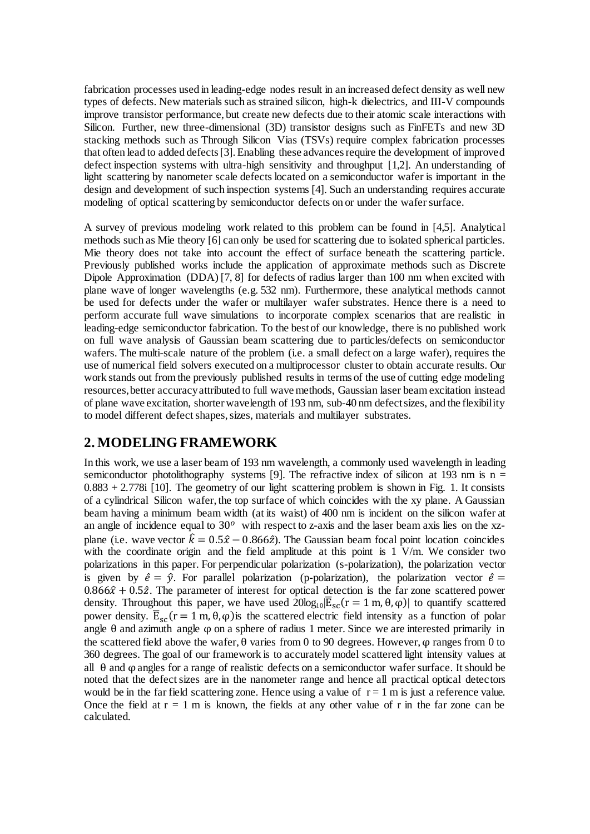fabrication processes used in leading-edge nodes result in an increased defect density as well new types of defects. New materials such as strained silicon, high-k dielectrics, and III-V compounds improve transistor performance, but create new defects due to their atomic scale interactions with Silicon. Further, new three-dimensional (3D) transistor designs such as FinFETs and new 3D stacking methods such as Through Silicon Vias (TSVs) require complex fabrication processes that often lead to added defects[3]. Enabling these advances require the development of improved defect inspection systems with ultra-high sensitivity and throughput [1,2]. An understanding of light scattering by nanometer scale defects located on a semiconductor wafer is important in the design and development of such inspection systems [4]. Such an understanding requires accurate modeling of optical scattering by semiconductor defects on or under the wafer surface.

A survey of previous modeling work related to this problem can be found in [4,5]. Analytical methods such as Mie theory [6] can only be used for scattering due to isolated spherical particles. Mie theory does not take into account the effect of surface beneath the scattering particle. Previously published works include the application of approximate methods such as Discrete Dipole Approximation (DDA) [7, 8] for defects of radius larger than 100 nm when excited with plane wave of longer wavelengths (e.g. 532 nm). Furthermore, these analytical methods cannot be used for defects under the wafer or multilayer wafer substrates. Hence there is a need to perform accurate full wave simulations to incorporate complex scenarios that are realistic in leading-edge semiconductor fabrication. To the best of our knowledge, there is no published work on full wave analysis of Gaussian beam scattering due to particles/defects on semiconductor wafers. The multi-scale nature of the problem (i.e. a small defect on a large wafer), requires the use of numerical field solvers executed on a multiprocessor cluster to obtain accurate results. Our work stands out from the previously published results in terms of the use of cutting edge modeling resources, better accuracy attributed to full wave methods, Gaussian laser beam excitation instead of plane wave excitation, shorter wavelength of 193 nm, sub-40 nm defect sizes, and the flexibility to model different defect shapes, sizes, materials and multilayer substrates.

# **2. MODELING FRAMEWORK**

In this work, we use a laser beam of 193 nm wavelength, a commonly used wavelength in leading semiconductor photolithography systems [9]. The refractive index of silicon at 193 nm is  $n =$  $0.883 + 2.778$  [10]. The geometry of our light scattering problem is shown in Fig. 1. It consists of a cylindrical Silicon wafer, the top surface of which coincides with the xy plane. A Gaussian beam having a minimum beam width (at its waist) of 400 nm is incident on the silicon wafer at an angle of incidence equal to  $30^{\circ}$  with respect to z-axis and the laser beam axis lies on the xzplane (i.e. wave vector  $\hat{k} = 0.5\hat{x} - 0.866\hat{z}$ ). The Gaussian beam focal point location coincides with the coordinate origin and the field amplitude at this point is  $1 \text{ V/m}$ . We consider two polarizations in this paper. For perpendicular polarization (s-polarization), the polarization vector is given by  $\hat{e} = \hat{y}$ . For parallel polarization (p-polarization), the polarization vector  $\hat{e}$  =  $0.866\hat{x} + 0.5\hat{z}$ . The parameter of interest for optical detection is the far zone scattered power density. Throughout this paper, we have used  $20log_{10}|\overline{E}_{sc}(r = 1 \text{ m}, \theta, \varphi)|$  to quantify scattered power density.  $\overline{E}_{sc}$  (r = 1 m, θ, φ) is the scattered electric field intensity as a function of polar angle  $\theta$  and azimuth angle  $\varphi$  on a sphere of radius 1 meter. Since we are interested primarily in the scattered field above the wafer,  $\theta$  varies from 0 to 90 degrees. However,  $\varphi$  ranges from 0 to 360 degrees. The goal of our framework is to accurately model scattered light intensity values at all  $\theta$  and  $\omega$  angles for a range of realistic defects on a semiconductor wafer surface. It should be noted that the defect sizes are in the nanometer range and hence all practical optical detectors would be in the far field scattering zone. Hence using a value of  $r = 1$  m is just a reference value. Once the field at  $r = 1$  m is known, the fields at any other value of r in the far zone can be calculated.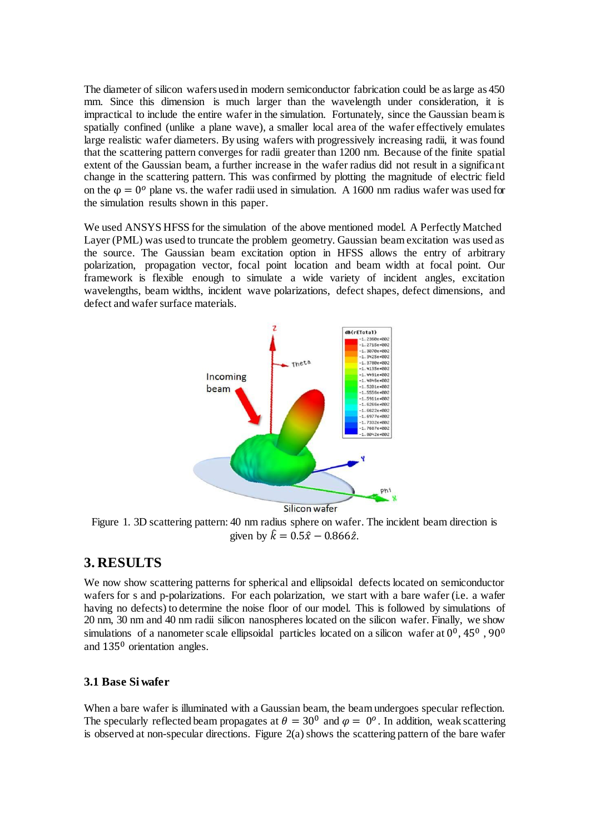The diameter of silicon wafers used in modern semiconductor fabrication could be as large as 450 mm. Since this dimension is much larger than the wavelength under consideration, it is impractical to include the entire wafer in the simulation. Fortunately, since the Gaussian beam is spatially confined (unlike a plane wave), a smaller local area of the wafer effectively emulates large realistic wafer diameters. By using wafers with progressively increasing radii, it was found that the scattering pattern converges for radii greater than 1200 nm. Because of the finite spatial extent of the Gaussian beam, a further increase in the wafer radius did not result in a significant change in the scattering pattern. This was confirmed by plotting the magnitude of electric field on the  $\varphi = 0^{\circ}$  plane vs. the wafer radii used in simulation. A 1600 nm radius wafer was used for the simulation results shown in this paper.

We used ANSYS HFSS for the simulation of the above mentioned model. A Perfectly Matched Layer (PML) was used to truncate the problem geometry. Gaussian beam excitation was used as the source. The Gaussian beam excitation option in HFSS allows the entry of arbitrary polarization, propagation vector, focal point location and beam width at focal point. Our framework is flexible enough to simulate a wide variety of incident angles, excitation wavelengths, beam widths, incident wave polarizations, defect shapes, defect dimensions, and defect and wafer surface materials.



Figure 1. 3D scattering pattern: 40 nm radius sphere on wafer. The incident beam direction is given by  $\hat{k} = 0.5\hat{x} - 0.866\hat{z}$ .

# **3. RESULTS**

We now show scattering patterns for spherical and ellipsoidal defects located on semiconductor wafers for s and p-polarizations. For each polarization, we start with a bare wafer (i.e. a wafer having no defects) to determine the noise floor of our model. This is followed by simulations of 20 nm, 30 nm and 40 nm radii silicon nanospheres located on the silicon wafer. Finally, we show simulations of a nanometer scale ellipsoidal particles located on a silicon wafer at  $0^0$ , 45<sup>0</sup>, 90<sup>0</sup> and 135<sup>0</sup> orientation angles.

# **3.1 Base Si wafer**

When a bare wafer is illuminated with a Gaussian beam, the beam undergoes specular reflection. The specularly reflected beam propagates at  $\theta = 30^{\circ}$  and  $\varphi = 0^{\circ}$ . In addition, weak scattering is observed at non-specular directions. Figure 2(a) shows the scattering pattern of the bare wafer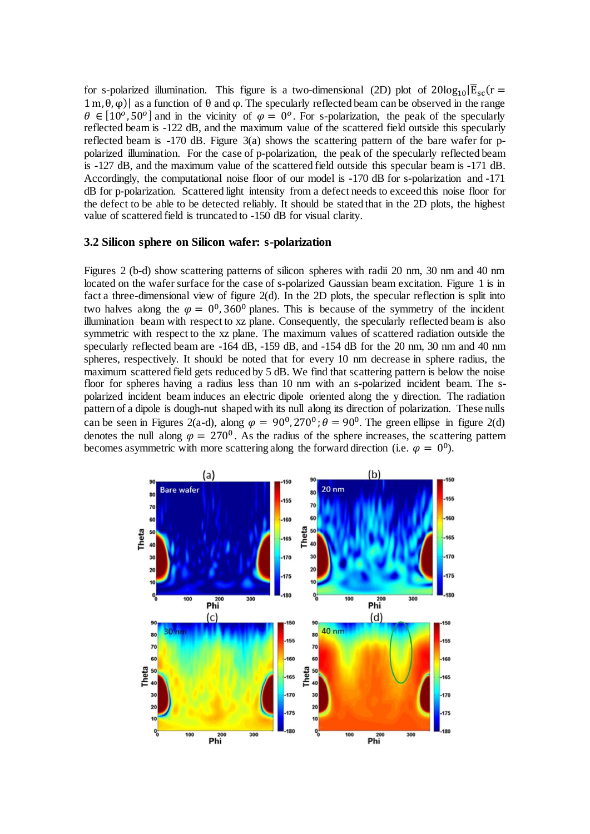for s-polarized illumination. This figure is a two-dimensional (2D) plot of  $20log_{10}|\overline{E}_{sc}(r=$  $1$  m,  $θ$ ,  $φ$ )| as a function of  $θ$  and  $φ$ . The specularly reflected beam can be observed in the range  $\theta \in [10^{\circ}, 50^{\circ}]$  and in the vicinity of  $\varphi = 0^{\circ}$ . For s-polarization, the peak of the specularly reflected beam is -122 dB, and the maximum value of the scattered field outside this specularly reflected beam is -170 dB. Figure 3(a) shows the scattering pattern of the bare wafer for ppolarized illumination. For the case of p-polarization, the peak of the specularly reflected beam is -127 dB, and the maximum value of the scattered field outside this specular beam is -171 dB. Accordingly, the computational noise floor of our model is -170 dB for s-polarization and -171 dB for p-polarization. Scattered light intensity from a defect needs to exceed this noise floor for the defect to be able to be detected reliably. It should be stated that in the 2D plots, the highest value of scattered field is truncated to -150 dB for visual clarity.

#### **3.2 Silicon sphere on Silicon wafer: s-polarization**

Figures 2 (b-d) show scattering patterns of silicon spheres with radii 20 nm, 30 nm and 40 nm located on the wafer surface for the case of s-polarized Gaussian beam excitation. Figure 1 is in fact a three-dimensional view of figure 2(d). In the 2D plots, the specular reflection is split into two halves along the  $\varphi = 0^0$ , 360<sup>0</sup> planes. This is because of the symmetry of the incident illumination beam with respect to xz plane. Consequently, the specularly reflected beam is also symmetric with respect to the xz plane. The maximum values of scattered radiation outside the specularly reflected beam are -164 dB, -159 dB, and -154 dB for the 20 nm, 30 nm and 40 nm spheres, respectively. It should be noted that for every 10 nm decrease in sphere radius, the maximum scattered field gets reduced by 5 dB. We find that scattering pattern is below the noise floor for spheres having a radius less than 10 nm with an s-polarized incident beam. The spolarized incident beam induces an electric dipole oriented along the y direction. The radiation pattern of a dipole is dough-nut shaped with its null along its direction of polarization. These nulls can be seen in Figures 2(a-d), along  $\varphi = 90^0$ , 270<sup>0</sup>;  $\theta = 90^0$ . The green ellipse in figure 2(d) denotes the null along  $\varphi = 270^{\circ}$ . As the radius of the sphere increases, the scattering pattern becomes asymmetric with more scattering along the forward direction (i.e.  $\varphi = 0^0$ ).

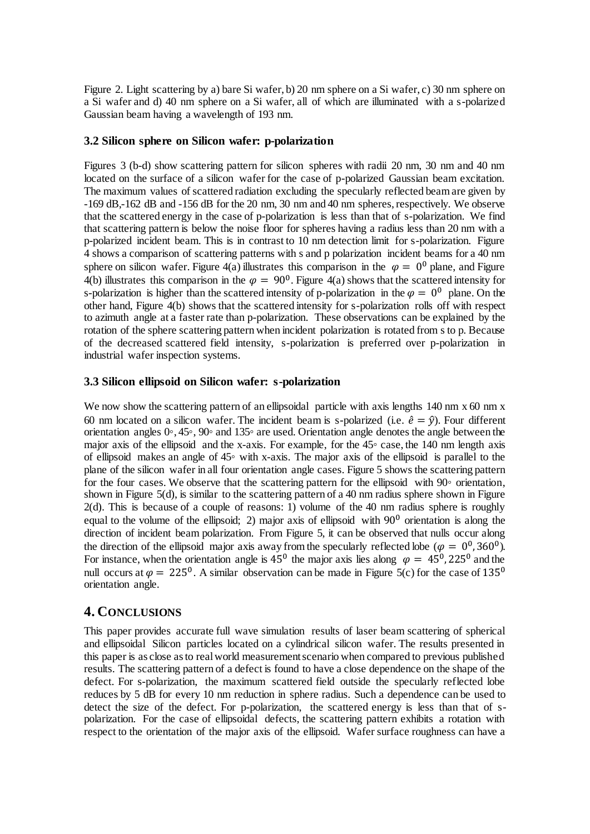Figure 2. Light scattering by a) bare Si wafer, b) 20 nm sphere on a Si wafer, c) 30 nm sphere on a Si wafer and d) 40 nm sphere on a Si wafer, all of which are illuminated with a s-polarized Gaussian beam having a wavelength of 193 nm.

## **3.2 Silicon sphere on Silicon wafer: p-polarization**

Figures 3 (b-d) show scattering pattern for silicon spheres with radii 20 nm, 30 nm and 40 nm located on the surface of a silicon wafer for the case of p-polarized Gaussian beam excitation. The maximum values of scattered radiation excluding the specularly reflected beam are given by -169 dB,-162 dB and -156 dB for the 20 nm, 30 nm and 40 nm spheres, respectively. We observe that the scattered energy in the case of p-polarization is less than that of s-polarization. We find that scattering pattern is below the noise floor for spheres having a radius less than 20 nm with a p-polarized incident beam. This is in contrast to 10 nm detection limit for s-polarization. Figure 4 shows a comparison of scattering patterns with s and p polarization incident beams for a 40 nm sphere on silicon wafer. Figure 4(a) illustrates this comparison in the  $\varphi = 0^0$  plane, and Figure 4(b) illustrates this comparison in the  $\varphi = 90^0$ . Figure 4(a) shows that the scattered intensity for s-polarization is higher than the scattered intensity of p-polarization in the  $\varphi = 0^0$  plane. On the other hand, Figure 4(b) shows that the scattered intensity for s-polarization rolls off with respect to azimuth angle at a faster rate than p-polarization. These observations can be explained by the rotation of the sphere scattering pattern when incident polarization is rotated from s to p. Because of the decreased scattered field intensity, s-polarization is preferred over p-polarization in industrial wafer inspection systems.

## **3.3 Silicon ellipsoid on Silicon wafer: s-polarization**

We now show the scattering pattern of an ellipsoidal particle with axis lengths 140 nm x 60 nm x 60 nm located on a silicon wafer. The incident beam is s-polarized (i.e.  $\hat{e} = \hat{v}$ ). Four different orientation angles 0◦, 45◦, 90◦ and 135◦ are used. Orientation angle denotes the angle between the major axis of the ellipsoid and the x-axis. For example, for the 45◦ case, the 140 nm length axis of ellipsoid makes an angle of 45◦ with x-axis. The major axis of the ellipsoid is parallel to the plane of the silicon wafer in all four orientation angle cases. Figure 5 shows the scattering pattern for the four cases. We observe that the scattering pattern for the ellipsoid with 90◦ orientation, shown in Figure 5(d), is similar to the scattering pattern of a 40 nm radius sphere shown in Figure 2(d). This is because of a couple of reasons: 1) volume of the 40 nm radius sphere is roughly equal to the volume of the ellipsoid; 2) major axis of ellipsoid with  $90^{\circ}$  orientation is along the direction of incident beam polarization. From Figure 5, it can be observed that nulls occur along the direction of the ellipsoid major axis away from the specularly reflected lobe ( $\varphi = 0^0$ , 360<sup>0</sup>). For instance, when the orientation angle is  $45^{\circ}$  the major axis lies along  $\varphi = 45^{\circ}, 225^{\circ}$  and the null occurs at  $\varphi = 225^{\circ}$ . A similar observation can be made in Figure 5(c) for the case of 135<sup>0</sup> orientation angle.

# **4. CONCLUSIONS**

This paper provides accurate full wave simulation results of laser beam scattering of spherical and ellipsoidal Silicon particles located on a cylindrical silicon wafer. The results presented in this paper is as close as to real world measurement scenario when compared to previous published results. The scattering pattern of a defect is found to have a close dependence on the shape of the defect. For s-polarization, the maximum scattered field outside the specularly reflected lobe reduces by 5 dB for every 10 nm reduction in sphere radius. Such a dependence can be used to detect the size of the defect. For p-polarization, the scattered energy is less than that of spolarization. For the case of ellipsoidal defects, the scattering pattern exhibits a rotation with respect to the orientation of the major axis of the ellipsoid. Wafer surface roughness can have a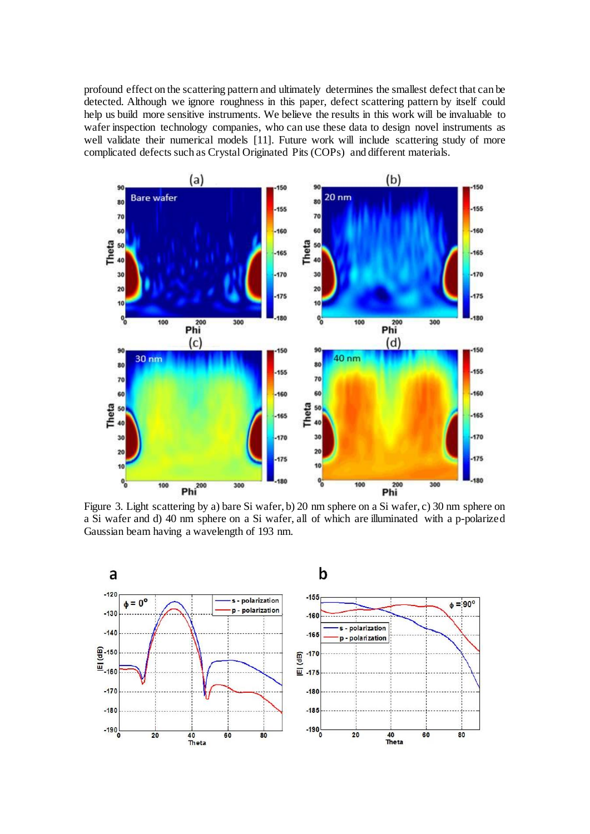profound effect on the scattering pattern and ultimately determines the smallest defect that can be detected. Although we ignore roughness in this paper, defect scattering pattern by itself could help us build more sensitive instruments. We believe the results in this work will be invaluable to wafer inspection technology companies, who can use these data to design novel instruments as well validate their numerical models [11]. Future work will include scattering study of more complicated defects such as Crystal Originated Pits (COPs) and different materials.



Figure 3. Light scattering by a) bare Si wafer, b) 20 nm sphere on a Si wafer, c) 30 nm sphere on a Si wafer and d) 40 nm sphere on a Si wafer, all of which are illuminated with a p-polarized Gaussian beam having a wavelength of 193 nm.

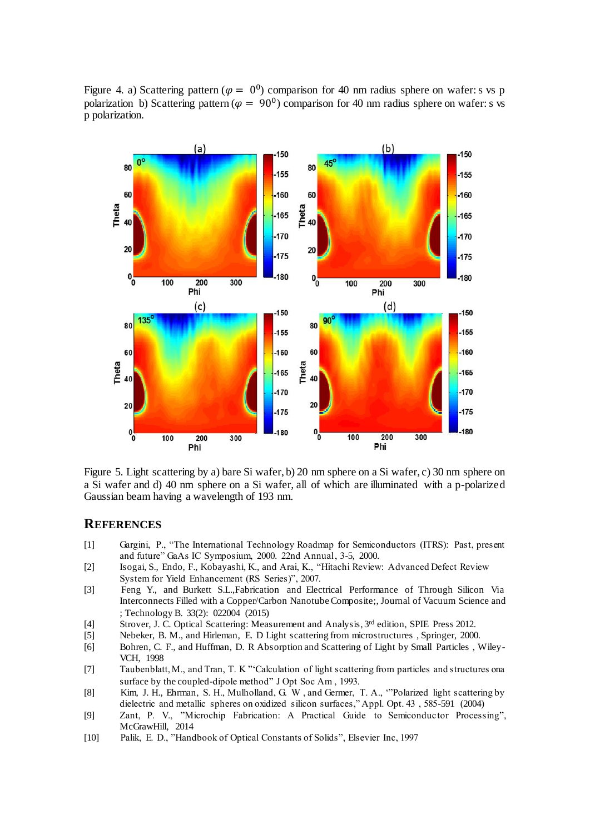Figure 4. a) Scattering pattern ( $\varphi = 0^0$ ) comparison for 40 nm radius sphere on wafer: s vs p polarization b) Scattering pattern ( $\varphi = 90^0$ ) comparison for 40 nm radius sphere on wafer: s vs p polarization.



Figure 5. Light scattering by a) bare Si wafer, b) 20 nm sphere on a Si wafer, c) 30 nm sphere on a Si wafer and d) 40 nm sphere on a Si wafer, all of which are illuminated with a p-polarized Gaussian beam having a wavelength of 193 nm.

# **REFERENCES**

- [1] Gargini, P., "The International Technology Roadmap for Semiconductors (ITRS): Past, present and future" GaAs IC Symposium, 2000. 22nd Annual, 3-5, 2000.
- [2] Isogai, S., Endo, F., Kobayashi, K., and Arai, K., "Hitachi Review: Advanced Defect Review System for Yield Enhancement (RS Series)", 2007.
- [3] Feng Y., and Burkett S.L.,Fabrication and Electrical Performance of Through Silicon Via Interconnects Filled with a Copper/Carbon Nanotube Composite;, Journal of Vacuum Science and ; Technology B. 33(2): 022004 (2015)
- [4] Strover, J. C. Optical Scattering: Measurement and Analysis, 3rd edition, SPIE Press 2012.
- [5] Nebeker, B. M., and Hirleman, E. D Light scattering from microstructures , Springer, 2000.
- [6] Bohren, C. F., and Huffman, D. R Absorption and Scattering of Light by Small Particles , Wiley-VCH, 1998
- [7] Taubenblatt, M., and Tran, T. K "'Calculation of light scattering from particles and structures ona surface by the coupled-dipole method" J Opt Soc Am , 1993.
- [8] Kim, J. H., Ehrman, S. H., Mulholland, G. W , and Germer, T. A., '"Polarized light scattering by dielectric and metallic spheres on oxidized silicon surfaces," Appl. Opt. 43 , 585-591 (2004)
- [9] Zant, P. V., "Microchip Fabrication: A Practical Guide to Semiconductor Processing", McGrawHill, 2014
- [10] Palik, E. D., "Handbook of Optical Constants of Solids", Elsevier Inc, 1997